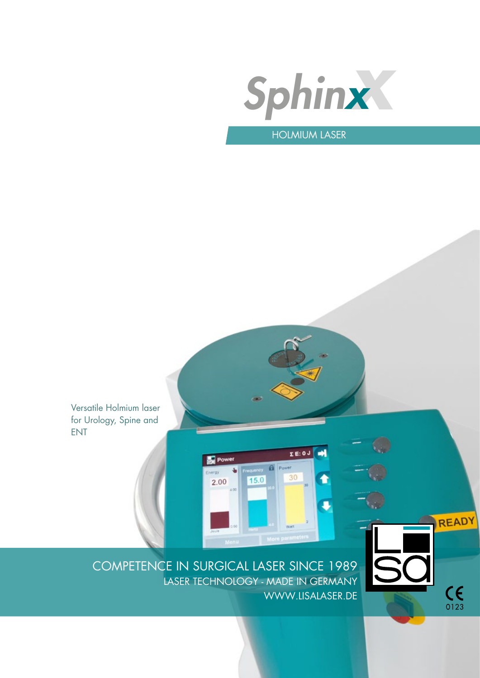

# HOLMIUM LASER

Versatile Holmium laser for Urology, Spine and ENT



READY

 $C_{0123}$ 

COMPETENCE IN SURGICAL LASER SINCE 1989 LASER TECHNOLOGY - MADE IN GERMANY WWW.LISALASER.DE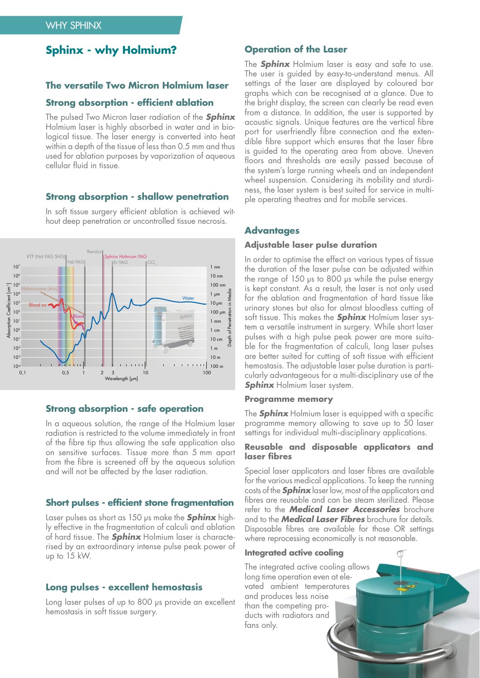# **Sphinx - why Holmium?**

#### **The versatile Two Micron Holmium laser**

## **Strong absorption - efficient ablation**

The pulsed Two Micron laser radiation of the **Sphinx** Holmium laser is highly absorbed in water and in biological tissue. The laser energy is converted into heat within a depth of the tissue of less than 0.5 mm and thus used for ablation purposes by vaporization of aqueous cellular fluid in tissue.

#### **Strong absorption - shallow penetration**



In soft tissue surgery efficient ablation is achieved without deep penetration or uncontrolled tissue necrosis.

#### **Strong absorption - safe operation**

In a aqueous solution, the range of the Holmium laser radiation is restricted to the volume immediately in front of the fibre tip thus allowing the safe application also on sensitive surfaces. Tissue more than 5 mm apart from the fibre is screened off by the aqueous solution and will not be affected by the laser radiation.

#### **Short pulses - efficient stone fragmentation**

Laser pulses as short as 150 µs make the **Sphinx** highly effective in the fragmentation of calculi and ablation of hard tissue. The **Sphinx** Holmium laser is characterised by an extraordinary intense pulse peak power of up to 15 kW.

#### **Long pulses - excellent hemostasis**

Long laser pulses of up to 800 µs provide an excellent hemostasis in soft tissue surgery.

## **Operation of the Laser**

The **Sphinx** Holmium laser is easy and safe to use. The user is guided by easy-to-understand menus. All settings of the laser are displayed by coloured bar graphs which can be recognised at a glance. Due to the bright display, the screen can clearly be read even from a distance. In addition, the user is supported by acoustic signals. Unique features are the vertical fibre port for userfriendly fibre connection and the extendible fibre support which ensures that the laser fibre is guided to the operating area from above. Uneven floors and thresholds are easily passed because of the system´s large running wheels and an independent wheel suspension. Considering its mobility and sturdiness, the laser system is best suited for service in multiple operating theatres and for mobile services.

#### **Advantages**

#### **Adjustable laser pulse duration**

In order to optimise the effect on various types of tissue the duration of the laser pulse can be adjusted within the range of 150 µs to 800 µs while the pulse energy is kept constant. As a result, the laser is not only used for the ablation and fragmentation of hard tissue like urinary stones but also for almost bloodless cutting of soft tissue. This makes the **Sphinx** Holmium laser system a versatile instrument in surgery. While short laser pulses with a high pulse peak power are more suitable for the fragmentation of calculi, long laser pulses are better suited for cutting of soft tissue with efficient hemostasis. The adjustable laser pulse duration is particularly advantageous for a multi-disciplinary use of the **Sphinx** Holmium laser system.

#### **Programme memory**

The **Sphinx** Holmium laser is equipped with a specific programme memory allowing to save up to 50 laser settings for individual multi-disciplinary applications.

#### **Reusable and disposable applicators and laser fibres**

Special laser applicators and laser fibres are available for the various medical applications. To keep the running costs of the **Sphinx** laser low, most of the applicators and fibres are reusable and can be steam sterilized. Please refer to the **Medical Laser Accessories** brochure and to the **Medical Laser Fibres** brochure for details. Disposable fibres are available for those OR settings where reprocessing economically is not reasonable.

#### **Integrated active cooling**

The integrated active cooling allows long time operation even at elevated ambient temperatures and produces less noise than the competing products with radiators and fans only.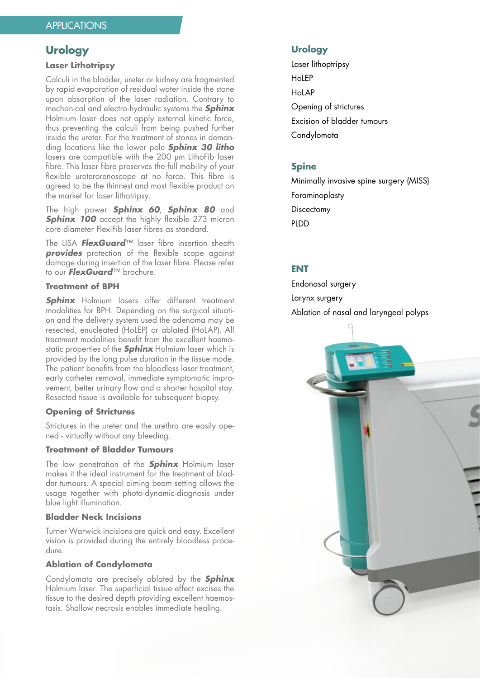# **Urology**

#### **Laser Lithotripsy**

Calculi in the bladder, ureter or kidney are fragmented by rapid evaporation of residual water inside the stone upon absorption of the laser radiation. Contrary to mechanical and electro-hydraulic systems the **Sphinx** Holmium laser does not apply external kinetic force, thus preventing the calculi from being pushed further inside the ureter. For the treatment of stones in demanding locations like the lower pole **Sphinx 30 litho** lasers are compatible with the 200 um LithoFib laser fibre. This laser fibre preserves the full mobility of your flexible ureterorenoscope at no force. This fibre is agreed to be the thinnest and most flexible product on the market for laser lithotripsy.

The high power **Sphinx 60**, **Sphinx 80** and **Sphinx 100** accept the highly flexible 273 micron core diameter FlexiFib laser fibres as standard.

The LISA **FlexGuard**™ laser fibre insertion sheath **provides** protection of the flexible scope against damage during insertion of the laser fibre. Please refer to our **FlexGuard**™ brochure.

## **Treatment of BPH**

**Sphinx** Holmium lasers offer different treatment modalities for BPH. Depending on the surgical situation and the delivery system used the adenoma may be resected, enucleated (HoLEP) or ablated (HoLAP). All treatment modalities benefit from the excellent haemostatic properties of the **Sphinx** Holmium laser which is provided by the long pulse duration in the tissue mode. The patient benefits from the bloodless laser treatment, early catheter removal, immediate symptomatic improvement, better urinary flow and a shorter hospital stay. Resected tissue is available for subsequent biopsy.

## **Opening of Strictures**

Strictures in the ureter and the urethra are easily opened - virtually without any bleeding.

## **Treatment of Bladder Tumours**

The low penetration of the **Sphinx** Holmium laser makes it the ideal instrument for the treatment of bladder tumours. A special aiming beam setting allows the usage together with photo-dynamic-diagnosis under blue light illumination.

## **Bladder Neck Incisions**

Turner Warwick incisions are quick and easy. Excellent vision is provided during the entirely bloodless procedure.

#### **Ablation of Condylomata**

Condylomata are precisely ablated by the **Sphinx** Holmium laser. The superficial tissue effect excises the tissue to the desired depth providing excellent haemostasis. Shallow necrosis enables immediate healing.

## **Urology**

Laser lithoptripsy **HoLEP** HoLAP Opening of strictures Excision of bladder tumours Condylomata

## **Spine**

Minimally invasive spine surgery (MISS) Foraminoplasty **Discectomy** PLDD

# **ENT**

Endonasal surgery Larynx surgery Ablation of nasal and laryngeal polyps

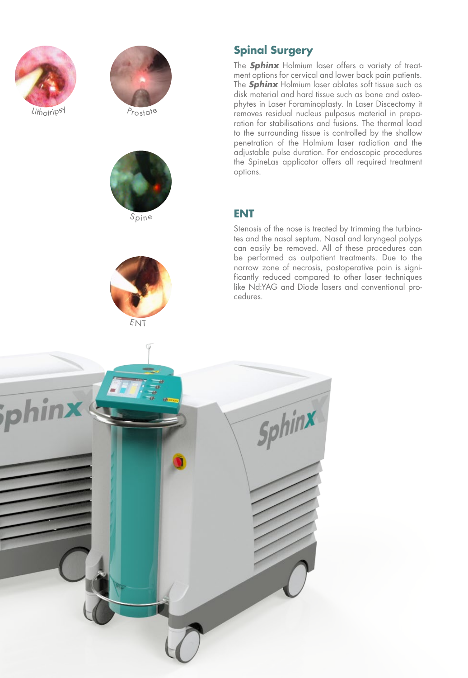



Prostate





# **Spinal Surgery**

The **Sphinx** Holmium laser offers a variety of treat ment options for cervical and lower back pain patients. The **Sphinx** Holmium laser ablates soft tissue such as disk material and hard tissue such as bone and osteo phytes in Laser Foraminoplasty. In Laser Discectomy it removes residual nucleus pulposus material in prepa ration for stabilisations and fusions. The thermal load to the surrounding tissue is controlled by the shallow penetration of the Holmium laser radiation and the adjustable pulse duration. For endoscopic procedures the SpineLas applicator offers all required treatment options.

# **ENT**

Stenosis of the nose is treated by trimming the turbina tes and the nasal septum. Nasal and laryngeal polyps can easily be removed. All of these procedures can be performed as outpatient treatments. Due to the narrow zone of necrosis, postoperative pain is signi ficantly reduced compared to other laser techniques like Nd:YAG and Diode lasers and conventional pro cedures.

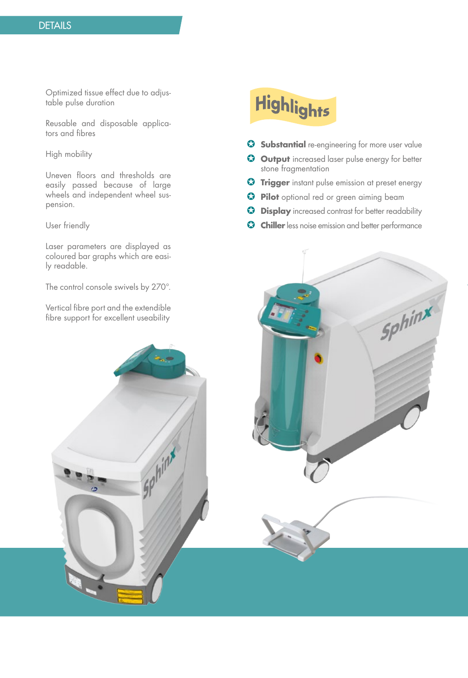Optimized tissue effect due to adjustable pulse duration

Reusable and disposable applicators and fibres

High mobility

Uneven floors and thresholds are easily passed because of large wheels and independent wheel suspension.

User friendly

Laser parameters are displayed as coloured bar graphs which are easily readable.

The control console swivels by 270°.

Vertical fibre port and the extendible fibre support for excellent useability

# Highlights

- **G** Substantial re-engineering for more user value
- **G** Output increased laser pulse energy for better stone fragmentation
- **G** Trigger instant pulse emission at preset energy
- **D** Pilot optional red or green aiming beam
- **Display** increased contrast for better readability
- **G Chiller** less noise emission and better performance

Sphinx